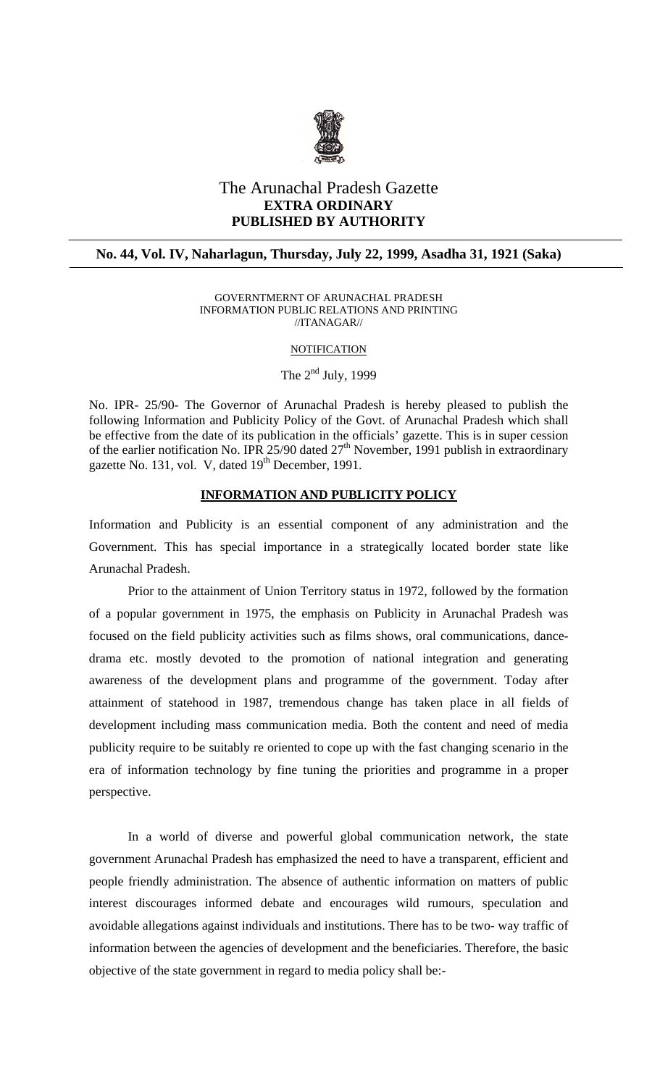

# The Arunachal Pradesh Gazette **EXTRA ORDINARY PUBLISHED BY AUTHORITY**

# **No. 44, Vol. IV, Naharlagun, Thursday, July 22, 1999, Asadha 31, 1921 (Saka)**

#### GOVERNTMERNT OF ARUNACHAL PRADESH INFORMATION PUBLIC RELATIONS AND PRINTING //ITANAGAR//

#### **NOTIFICATION**

The  $2<sup>nd</sup>$  July, 1999

No. IPR- 25/90- The Governor of Arunachal Pradesh is hereby pleased to publish the following Information and Publicity Policy of the Govt. of Arunachal Pradesh which shall be effective from the date of its publication in the officials' gazette. This is in super cession of the earlier notification No. IPR 25/90 dated  $27<sup>th</sup>$  November, 1991 publish in extraordinary gazette No. 131, vol. V, dated 19<sup>th</sup> December, 1991.

### **INFORMATION AND PUBLICITY POLICY**

Information and Publicity is an essential component of any administration and the Government. This has special importance in a strategically located border state like Arunachal Pradesh.

Prior to the attainment of Union Territory status in 1972, followed by the formation of a popular government in 1975, the emphasis on Publicity in Arunachal Pradesh was focused on the field publicity activities such as films shows, oral communications, dancedrama etc. mostly devoted to the promotion of national integration and generating awareness of the development plans and programme of the government. Today after attainment of statehood in 1987, tremendous change has taken place in all fields of development including mass communication media. Both the content and need of media publicity require to be suitably re oriented to cope up with the fast changing scenario in the era of information technology by fine tuning the priorities and programme in a proper perspective.

In a world of diverse and powerful global communication network, the state government Arunachal Pradesh has emphasized the need to have a transparent, efficient and people friendly administration. The absence of authentic information on matters of public interest discourages informed debate and encourages wild rumours, speculation and avoidable allegations against individuals and institutions. There has to be two- way traffic of information between the agencies of development and the beneficiaries. Therefore, the basic objective of the state government in regard to media policy shall be:-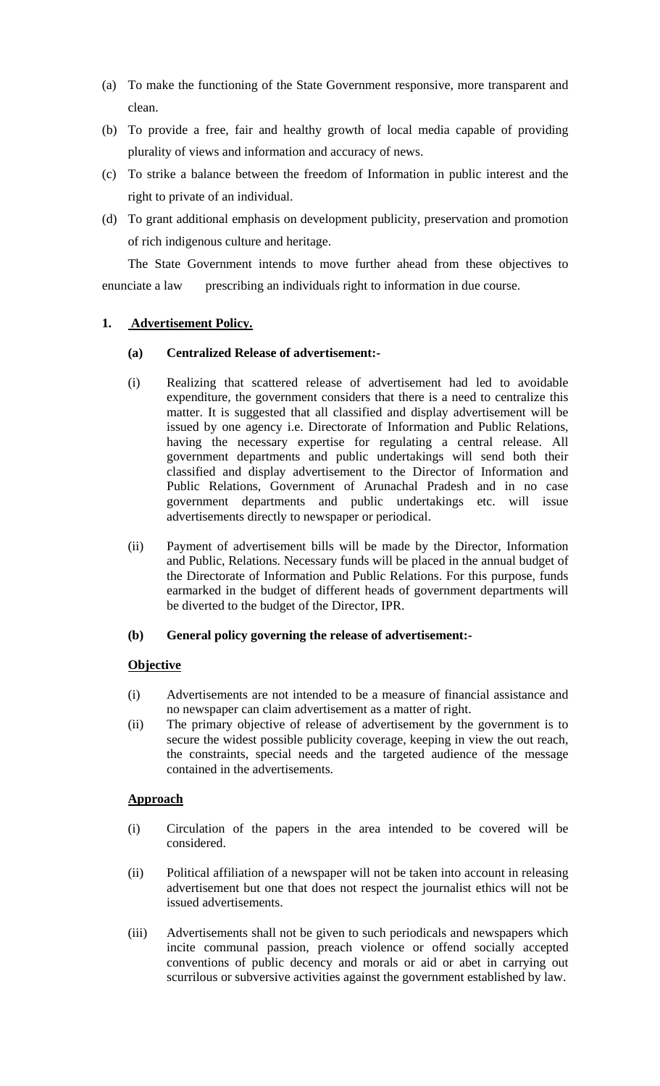- (a) To make the functioning of the State Government responsive, more transparent and clean.
- (b) To provide a free, fair and healthy growth of local media capable of providing plurality of views and information and accuracy of news.
- (c) To strike a balance between the freedom of Information in public interest and the right to private of an individual.
- (d) To grant additional emphasis on development publicity, preservation and promotion of rich indigenous culture and heritage.

 The State Government intends to move further ahead from these objectives to enunciate a law prescribing an individuals right to information in due course.

# **1. Advertisement Policy.**

# **(a) Centralized Release of advertisement:-**

- (i) Realizing that scattered release of advertisement had led to avoidable expenditure, the government considers that there is a need to centralize this matter. It is suggested that all classified and display advertisement will be issued by one agency i.e. Directorate of Information and Public Relations, having the necessary expertise for regulating a central release. All government departments and public undertakings will send both their classified and display advertisement to the Director of Information and Public Relations, Government of Arunachal Pradesh and in no case government departments and public undertakings etc. will issue advertisements directly to newspaper or periodical.
- (ii) Payment of advertisement bills will be made by the Director, Information and Public, Relations. Necessary funds will be placed in the annual budget of the Directorate of Information and Public Relations. For this purpose, funds earmarked in the budget of different heads of government departments will be diverted to the budget of the Director, IPR.

# **(b) General policy governing the release of advertisement:-**

# **Objective**

- (i) Advertisements are not intended to be a measure of financial assistance and no newspaper can claim advertisement as a matter of right.
- (ii) The primary objective of release of advertisement by the government is to secure the widest possible publicity coverage, keeping in view the out reach, the constraints, special needs and the targeted audience of the message contained in the advertisements.

# **Approach**

- (i) Circulation of the papers in the area intended to be covered will be considered.
- (ii) Political affiliation of a newspaper will not be taken into account in releasing advertisement but one that does not respect the journalist ethics will not be issued advertisements.
- (iii) Advertisements shall not be given to such periodicals and newspapers which incite communal passion, preach violence or offend socially accepted conventions of public decency and morals or aid or abet in carrying out scurrilous or subversive activities against the government established by law.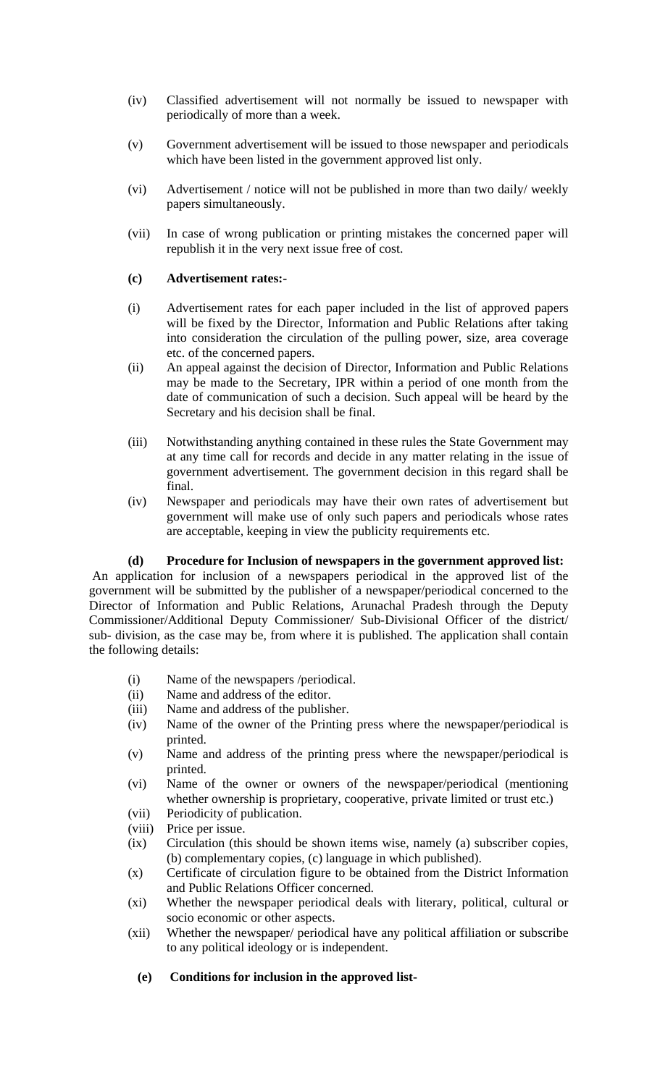- (iv) Classified advertisement will not normally be issued to newspaper with periodically of more than a week.
- (v) Government advertisement will be issued to those newspaper and periodicals which have been listed in the government approved list only.
- (vi) Advertisement / notice will not be published in more than two daily/ weekly papers simultaneously.
- (vii) In case of wrong publication or printing mistakes the concerned paper will republish it in the very next issue free of cost.

#### **(c) Advertisement rates:-**

- (i) Advertisement rates for each paper included in the list of approved papers will be fixed by the Director, Information and Public Relations after taking into consideration the circulation of the pulling power, size, area coverage etc. of the concerned papers.
- (ii) An appeal against the decision of Director, Information and Public Relations may be made to the Secretary, IPR within a period of one month from the date of communication of such a decision. Such appeal will be heard by the Secretary and his decision shall be final.
- (iii) Notwithstanding anything contained in these rules the State Government may at any time call for records and decide in any matter relating in the issue of government advertisement. The government decision in this regard shall be final.
- (iv) Newspaper and periodicals may have their own rates of advertisement but government will make use of only such papers and periodicals whose rates are acceptable, keeping in view the publicity requirements etc.

#### **(d) Procedure for Inclusion of newspapers in the government approved list:**

 An application for inclusion of a newspapers periodical in the approved list of the government will be submitted by the publisher of a newspaper/periodical concerned to the Director of Information and Public Relations, Arunachal Pradesh through the Deputy Commissioner/Additional Deputy Commissioner/ Sub-Divisional Officer of the district/ sub- division, as the case may be, from where it is published. The application shall contain the following details:

- (i) Name of the newspapers /periodical.
- (ii) Name and address of the editor.
- (iii) Name and address of the publisher.
- (iv) Name of the owner of the Printing press where the newspaper/periodical is printed.
- (v) Name and address of the printing press where the newspaper/periodical is printed.
- (vi) Name of the owner or owners of the newspaper/periodical (mentioning whether ownership is proprietary, cooperative, private limited or trust etc.)
- (vii) Periodicity of publication.
- (viii) Price per issue.
- (ix) Circulation (this should be shown items wise, namely (a) subscriber copies, (b) complementary copies, (c) language in which published).
- (x) Certificate of circulation figure to be obtained from the District Information and Public Relations Officer concerned.
- (xi) Whether the newspaper periodical deals with literary, political, cultural or socio economic or other aspects.
- (xii) Whether the newspaper/ periodical have any political affiliation or subscribe to any political ideology or is independent.

### **(e) Conditions for inclusion in the approved list-**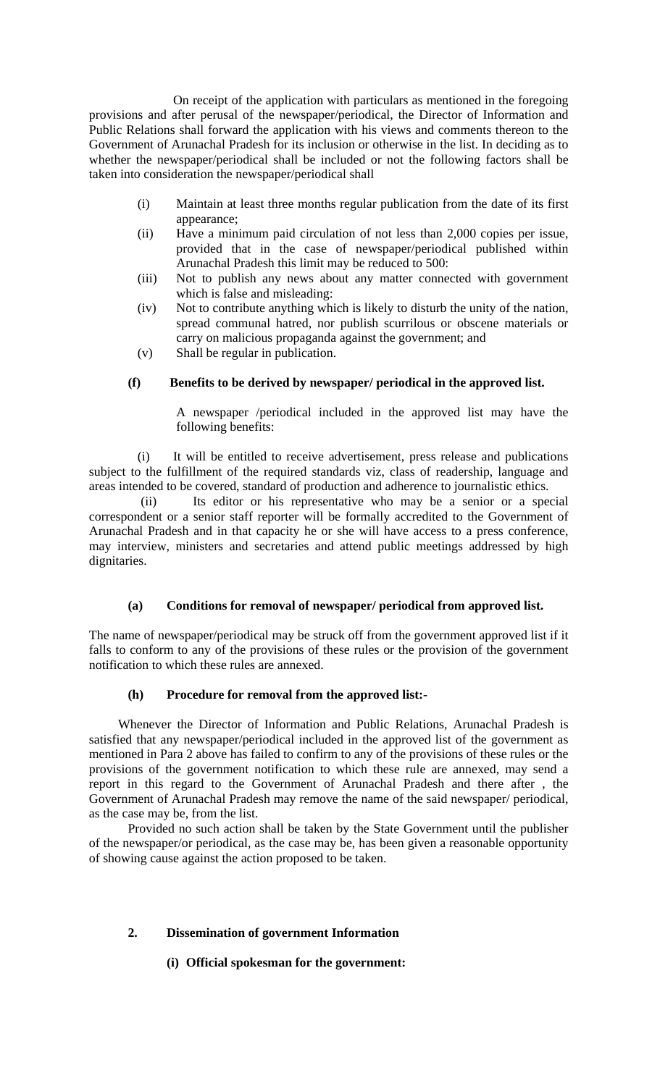On receipt of the application with particulars as mentioned in the foregoing provisions and after perusal of the newspaper/periodical, the Director of Information and Public Relations shall forward the application with his views and comments thereon to the Government of Arunachal Pradesh for its inclusion or otherwise in the list. In deciding as to whether the newspaper/periodical shall be included or not the following factors shall be taken into consideration the newspaper/periodical shall

- (i) Maintain at least three months regular publication from the date of its first appearance;
- (ii) Have a minimum paid circulation of not less than 2,000 copies per issue, provided that in the case of newspaper/periodical published within Arunachal Pradesh this limit may be reduced to 500:
- (iii) Not to publish any news about any matter connected with government which is false and misleading:
- (iv) Not to contribute anything which is likely to disturb the unity of the nation, spread communal hatred, nor publish scurrilous or obscene materials or carry on malicious propaganda against the government; and
- (v) Shall be regular in publication.

## **(f) Benefits to be derived by newspaper/ periodical in the approved list.**

A newspaper /periodical included in the approved list may have the following benefits:

 (i) It will be entitled to receive advertisement, press release and publications subject to the fulfillment of the required standards viz, class of readership, language and areas intended to be covered, standard of production and adherence to journalistic ethics.

 (ii) Its editor or his representative who may be a senior or a special correspondent or a senior staff reporter will be formally accredited to the Government of Arunachal Pradesh and in that capacity he or she will have access to a press conference, may interview, ministers and secretaries and attend public meetings addressed by high dignitaries.

### **(a) Conditions for removal of newspaper/ periodical from approved list.**

The name of newspaper/periodical may be struck off from the government approved list if it falls to conform to any of the provisions of these rules or the provision of the government notification to which these rules are annexed.

### **(h) Procedure for removal from the approved list:-**

 Whenever the Director of Information and Public Relations, Arunachal Pradesh is satisfied that any newspaper/periodical included in the approved list of the government as mentioned in Para 2 above has failed to confirm to any of the provisions of these rules or the provisions of the government notification to which these rule are annexed, may send a report in this regard to the Government of Arunachal Pradesh and there after , the Government of Arunachal Pradesh may remove the name of the said newspaper/ periodical, as the case may be, from the list.

 Provided no such action shall be taken by the State Government until the publisher of the newspaper/or periodical, as the case may be, has been given a reasonable opportunity of showing cause against the action proposed to be taken.

### **2. Dissemination of government Information**

### **(i) Official spokesman for the government:**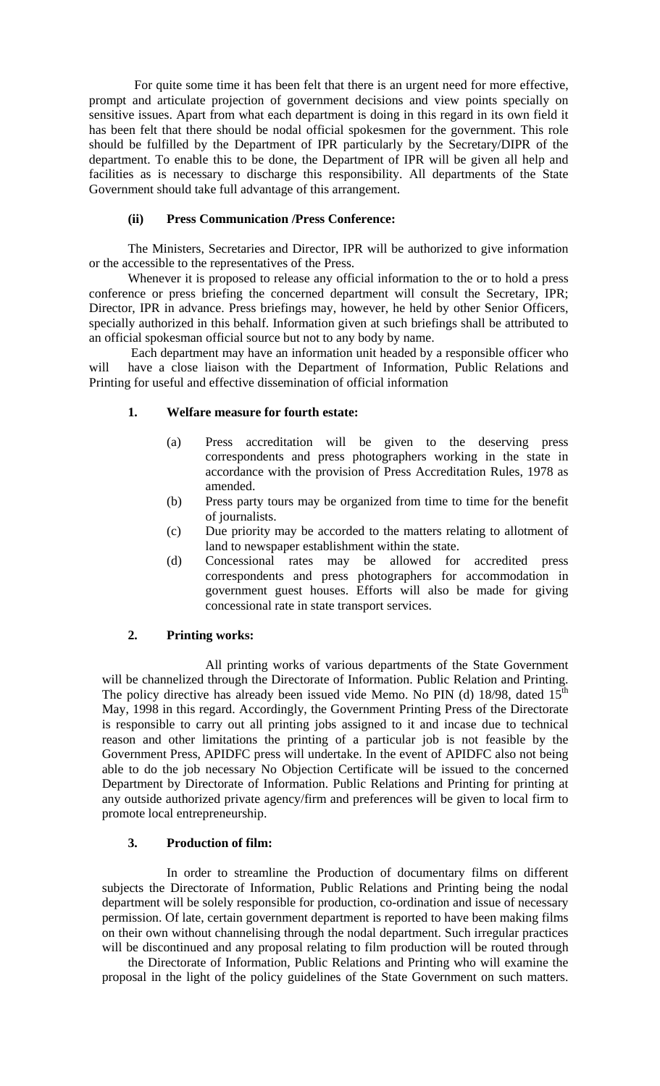For quite some time it has been felt that there is an urgent need for more effective, prompt and articulate projection of government decisions and view points specially on sensitive issues. Apart from what each department is doing in this regard in its own field it has been felt that there should be nodal official spokesmen for the government. This role should be fulfilled by the Department of IPR particularly by the Secretary/DIPR of the department. To enable this to be done, the Department of IPR will be given all help and facilities as is necessary to discharge this responsibility. All departments of the State Government should take full advantage of this arrangement.

#### **(ii) Press Communication /Press Conference:**

 The Ministers, Secretaries and Director, IPR will be authorized to give information or the accessible to the representatives of the Press.

 Whenever it is proposed to release any official information to the or to hold a press conference or press briefing the concerned department will consult the Secretary, IPR; Director, IPR in advance. Press briefings may, however, he held by other Senior Officers, specially authorized in this behalf. Information given at such briefings shall be attributed to an official spokesman official source but not to any body by name.

 Each department may have an information unit headed by a responsible officer who will have a close liaison with the Department of Information, Public Relations and Printing for useful and effective dissemination of official information

#### **1. Welfare measure for fourth estate:**

- (a) Press accreditation will be given to the deserving press correspondents and press photographers working in the state in accordance with the provision of Press Accreditation Rules, 1978 as amended.
- (b) Press party tours may be organized from time to time for the benefit of journalists.
- (c) Due priority may be accorded to the matters relating to allotment of land to newspaper establishment within the state.
- (d) Concessional rates may be allowed for accredited press correspondents and press photographers for accommodation in government guest houses. Efforts will also be made for giving concessional rate in state transport services.

#### **2. Printing works:**

 All printing works of various departments of the State Government will be channelized through the Directorate of Information. Public Relation and Printing. The policy directive has already been issued vide Memo. No PIN (d) 18/98, dated 15<sup>th</sup> May, 1998 in this regard. Accordingly, the Government Printing Press of the Directorate is responsible to carry out all printing jobs assigned to it and incase due to technical reason and other limitations the printing of a particular job is not feasible by the Government Press, APIDFC press will undertake. In the event of APIDFC also not being able to do the job necessary No Objection Certificate will be issued to the concerned Department by Directorate of Information. Public Relations and Printing for printing at any outside authorized private agency/firm and preferences will be given to local firm to promote local entrepreneurship.

#### **3. Production of film:**

 In order to streamline the Production of documentary films on different subjects the Directorate of Information, Public Relations and Printing being the nodal department will be solely responsible for production, co-ordination and issue of necessary permission. Of late, certain government department is reported to have been making films on their own without channelising through the nodal department. Such irregular practices will be discontinued and any proposal relating to film production will be routed through

 the Directorate of Information, Public Relations and Printing who will examine the proposal in the light of the policy guidelines of the State Government on such matters.